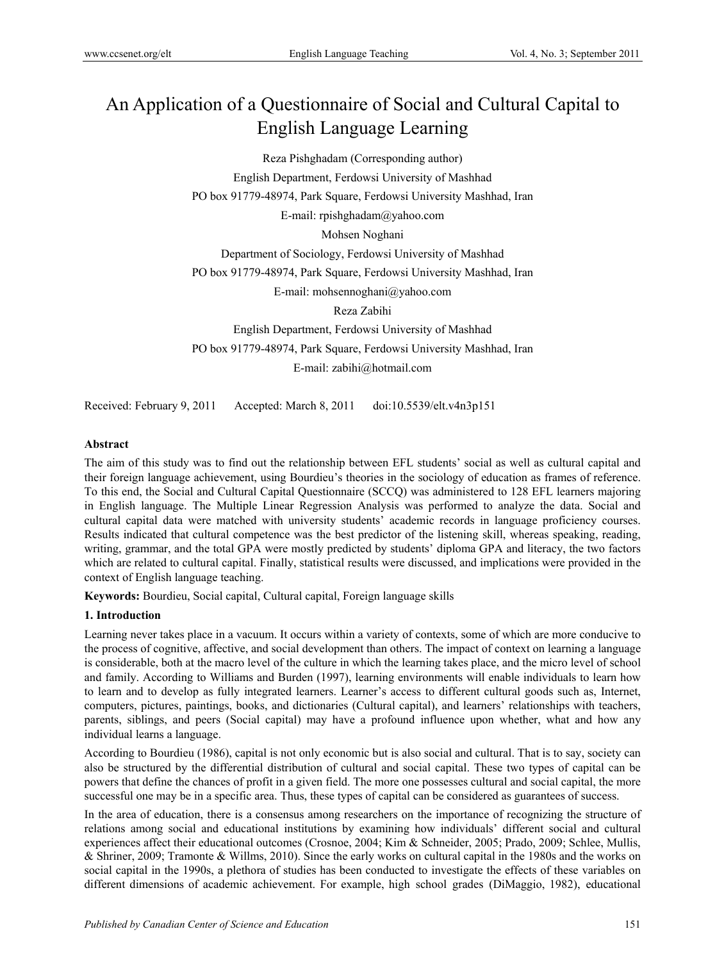# An Application of a Questionnaire of Social and Cultural Capital to English Language Learning

Reza Pishghadam (Corresponding author) English Department, Ferdowsi University of Mashhad PO box 91779-48974, Park Square, Ferdowsi University Mashhad, Iran E-mail: rpishghadam@yahoo.com Mohsen Noghani Department of Sociology, Ferdowsi University of Mashhad PO box 91779-48974, Park Square, Ferdowsi University Mashhad, Iran E-mail: mohsennoghani@yahoo.com Reza Zabihi English Department, Ferdowsi University of Mashhad PO box 91779-48974, Park Square, Ferdowsi University Mashhad, Iran E-mail: zabihi@hotmail.com

Received: February 9, 2011 Accepted: March 8, 2011 doi:10.5539/elt.v4n3p151

#### **Abstract**

The aim of this study was to find out the relationship between EFL students' social as well as cultural capital and their foreign language achievement, using Bourdieu's theories in the sociology of education as frames of reference. To this end, the Social and Cultural Capital Questionnaire (SCCQ) was administered to 128 EFL learners majoring in English language. The Multiple Linear Regression Analysis was performed to analyze the data. Social and cultural capital data were matched with university students' academic records in language proficiency courses. Results indicated that cultural competence was the best predictor of the listening skill, whereas speaking, reading, writing, grammar, and the total GPA were mostly predicted by students' diploma GPA and literacy, the two factors which are related to cultural capital. Finally, statistical results were discussed, and implications were provided in the context of English language teaching.

**Keywords:** Bourdieu, Social capital, Cultural capital, Foreign language skills

#### **1. Introduction**

Learning never takes place in a vacuum. It occurs within a variety of contexts, some of which are more conducive to the process of cognitive, affective, and social development than others. The impact of context on learning a language is considerable, both at the macro level of the culture in which the learning takes place, and the micro level of school and family. According to Williams and Burden (1997), learning environments will enable individuals to learn how to learn and to develop as fully integrated learners. Learner's access to different cultural goods such as, Internet, computers, pictures, paintings, books, and dictionaries (Cultural capital), and learners' relationships with teachers, parents, siblings, and peers (Social capital) may have a profound influence upon whether, what and how any individual learns a language.

According to Bourdieu (1986), capital is not only economic but is also social and cultural. That is to say, society can also be structured by the differential distribution of cultural and social capital. These two types of capital can be powers that define the chances of profit in a given field. The more one possesses cultural and social capital, the more successful one may be in a specific area. Thus, these types of capital can be considered as guarantees of success.

In the area of education, there is a consensus among researchers on the importance of recognizing the structure of relations among social and educational institutions by examining how individuals' different social and cultural experiences affect their educational outcomes (Crosnoe, 2004; Kim & Schneider, 2005; Prado, 2009; Schlee, Mullis, & Shriner, 2009; Tramonte & Willms, 2010). Since the early works on cultural capital in the 1980s and the works on social capital in the 1990s, a plethora of studies has been conducted to investigate the effects of these variables on different dimensions of academic achievement. For example, high school grades (DiMaggio, 1982), educational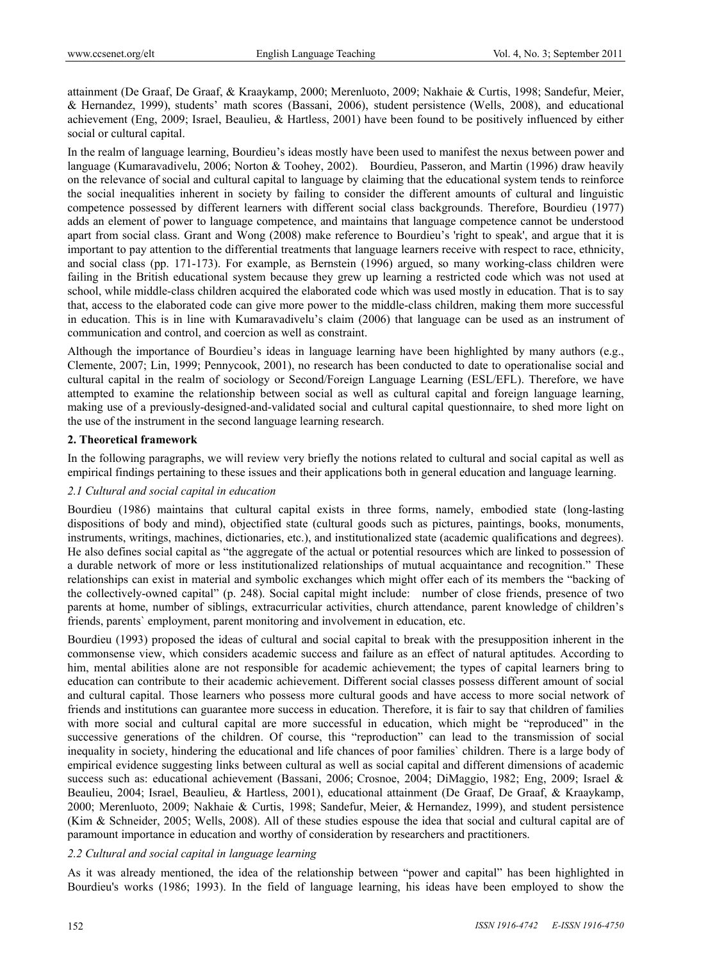attainment (De Graaf, De Graaf, & Kraaykamp, 2000; Merenluoto, 2009; Nakhaie & Curtis, 1998; Sandefur, Meier, & Hernandez, 1999), students' math scores (Bassani, 2006), student persistence (Wells, 2008), and educational achievement (Eng, 2009; Israel, Beaulieu, & Hartless, 2001) have been found to be positively influenced by either social or cultural capital.

In the realm of language learning, Bourdieu's ideas mostly have been used to manifest the nexus between power and language (Kumaravadivelu, 2006; Norton & Toohey, 2002). Bourdieu, Passeron, and Martin (1996) draw heavily on the relevance of social and cultural capital to language by claiming that the educational system tends to reinforce the social inequalities inherent in society by failing to consider the different amounts of cultural and linguistic competence possessed by different learners with different social class backgrounds. Therefore, Bourdieu (1977) adds an element of power to language competence, and maintains that language competence cannot be understood apart from social class. Grant and Wong (2008) make reference to Bourdieu's 'right to speak', and argue that it is important to pay attention to the differential treatments that language learners receive with respect to race, ethnicity, and social class (pp. 171-173). For example, as Bernstein (1996) argued, so many working-class children were failing in the British educational system because they grew up learning a restricted code which was not used at school, while middle-class children acquired the elaborated code which was used mostly in education. That is to say that, access to the elaborated code can give more power to the middle-class children, making them more successful in education. This is in line with Kumaravadivelu's claim (2006) that language can be used as an instrument of communication and control, and coercion as well as constraint.

Although the importance of Bourdieu's ideas in language learning have been highlighted by many authors (e.g., Clemente, 2007; Lin, 1999; Pennycook, 2001), no research has been conducted to date to operationalise social and cultural capital in the realm of sociology or Second/Foreign Language Learning (ESL/EFL). Therefore, we have attempted to examine the relationship between social as well as cultural capital and foreign language learning, making use of a previously-designed-and-validated social and cultural capital questionnaire, to shed more light on the use of the instrument in the second language learning research.

## **2. Theoretical framework**

In the following paragraphs, we will review very briefly the notions related to cultural and social capital as well as empirical findings pertaining to these issues and their applications both in general education and language learning.

#### *2.1 Cultural and social capital in education*

Bourdieu (1986) maintains that cultural capital exists in three forms, namely, embodied state (long-lasting dispositions of body and mind), objectified state (cultural goods such as pictures, paintings, books, monuments, instruments, writings, machines, dictionaries, etc.), and institutionalized state (academic qualifications and degrees). He also defines social capital as "the aggregate of the actual or potential resources which are linked to possession of a durable network of more or less institutionalized relationships of mutual acquaintance and recognition." These relationships can exist in material and symbolic exchanges which might offer each of its members the "backing of the collectively-owned capital" (p. 248). Social capital might include: number of close friends, presence of two parents at home, number of siblings, extracurricular activities, church attendance, parent knowledge of children's friends, parents` employment, parent monitoring and involvement in education, etc.

Bourdieu (1993) proposed the ideas of cultural and social capital to break with the presupposition inherent in the commonsense view, which considers academic success and failure as an effect of natural aptitudes. According to him, mental abilities alone are not responsible for academic achievement; the types of capital learners bring to education can contribute to their academic achievement. Different social classes possess different amount of social and cultural capital. Those learners who possess more cultural goods and have access to more social network of friends and institutions can guarantee more success in education. Therefore, it is fair to say that children of families with more social and cultural capital are more successful in education, which might be "reproduced" in the successive generations of the children. Of course, this "reproduction" can lead to the transmission of social inequality in society, hindering the educational and life chances of poor families` children. There is a large body of empirical evidence suggesting links between cultural as well as social capital and different dimensions of academic success such as: educational achievement (Bassani, 2006; Crosnoe, 2004; DiMaggio, 1982; Eng, 2009; Israel & Beaulieu, 2004; Israel, Beaulieu, & Hartless, 2001), educational attainment (De Graaf, De Graaf, & Kraaykamp, 2000; Merenluoto, 2009; Nakhaie & Curtis, 1998; Sandefur, Meier, & Hernandez, 1999), and student persistence (Kim & Schneider, 2005; Wells, 2008). All of these studies espouse the idea that social and cultural capital are of paramount importance in education and worthy of consideration by researchers and practitioners.

#### *2.2 Cultural and social capital in language learning*

As it was already mentioned, the idea of the relationship between "power and capital" has been highlighted in Bourdieu's works (1986; 1993). In the field of language learning, his ideas have been employed to show the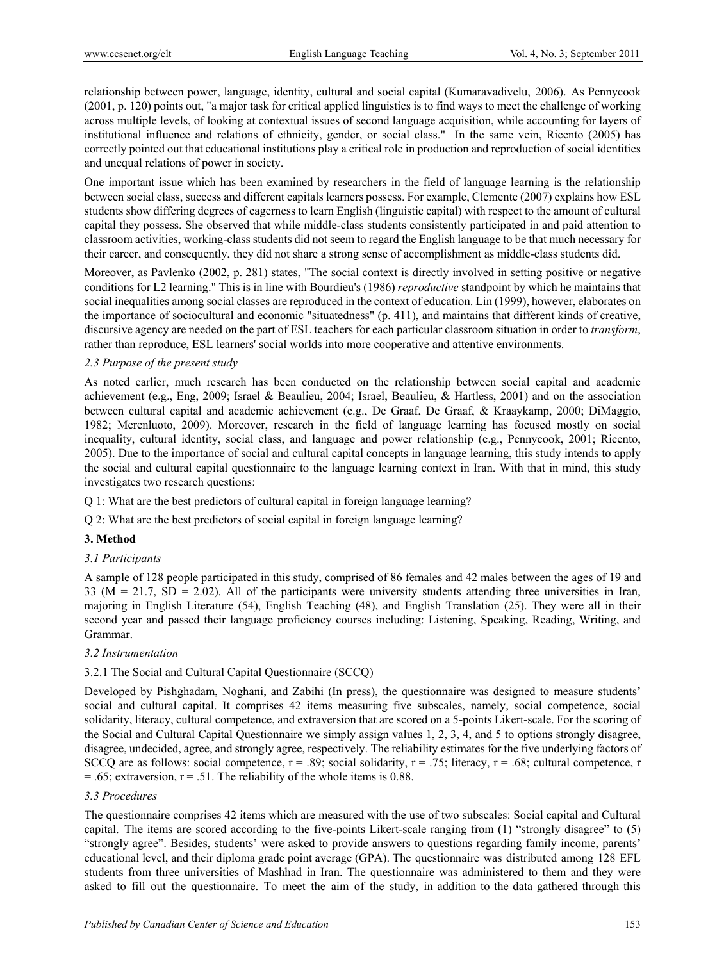relationship between power, language, identity, cultural and social capital (Kumaravadivelu, 2006). As Pennycook (2001, p. 120) points out, "a major task for critical applied linguistics is to find ways to meet the challenge of working across multiple levels, of looking at contextual issues of second language acquisition, while accounting for layers of institutional influence and relations of ethnicity, gender, or social class." In the same vein, Ricento (2005) has correctly pointed out that educational institutions play a critical role in production and reproduction of social identities and unequal relations of power in society.

One important issue which has been examined by researchers in the field of language learning is the relationship between social class, success and different capitals learners possess. For example, Clemente (2007) explains how ESL students show differing degrees of eagerness to learn English (linguistic capital) with respect to the amount of cultural capital they possess. She observed that while middle-class students consistently participated in and paid attention to classroom activities, working-class students did not seem to regard the English language to be that much necessary for their career, and consequently, they did not share a strong sense of accomplishment as middle-class students did.

Moreover, as Pavlenko (2002, p. 281) states, "The social context is directly involved in setting positive or negative conditions for L2 learning." This is in line with Bourdieu's (1986) *reproductive* standpoint by which he maintains that social inequalities among social classes are reproduced in the context of education. Lin (1999), however, elaborates on the importance of sociocultural and economic "situatedness" (p. 411), and maintains that different kinds of creative, discursive agency are needed on the part of ESL teachers for each particular classroom situation in order to *transform*, rather than reproduce, ESL learners' social worlds into more cooperative and attentive environments.

## *2.3 Purpose of the present study*

As noted earlier, much research has been conducted on the relationship between social capital and academic achievement (e.g., Eng, 2009; Israel & Beaulieu, 2004; Israel, Beaulieu, & Hartless, 2001) and on the association between cultural capital and academic achievement (e.g., De Graaf, De Graaf, & Kraaykamp, 2000; DiMaggio, 1982; Merenluoto, 2009). Moreover, research in the field of language learning has focused mostly on social inequality, cultural identity, social class, and language and power relationship (e.g., Pennycook, 2001; Ricento, 2005). Due to the importance of social and cultural capital concepts in language learning, this study intends to apply the social and cultural capital questionnaire to the language learning context in Iran. With that in mind, this study investigates two research questions:

Q 1: What are the best predictors of cultural capital in foreign language learning?

Q 2: What are the best predictors of social capital in foreign language learning?

#### **3. Method**

#### *3.1 Participants*

A sample of 128 people participated in this study, comprised of 86 females and 42 males between the ages of 19 and 33 ( $M = 21.7$ ,  $SD = 2.02$ ). All of the participants were university students attending three universities in Iran, majoring in English Literature (54), English Teaching (48), and English Translation (25). They were all in their second year and passed their language proficiency courses including: Listening, Speaking, Reading, Writing, and Grammar.

#### *3.2 Instrumentation*

# 3.2.1 The Social and Cultural Capital Questionnaire (SCCQ)

Developed by Pishghadam, Noghani, and Zabihi (In press), the questionnaire was designed to measure students' social and cultural capital. It comprises 42 items measuring five subscales, namely, social competence, social solidarity, literacy, cultural competence, and extraversion that are scored on a 5-points Likert-scale. For the scoring of the Social and Cultural Capital Questionnaire we simply assign values 1, 2, 3, 4, and 5 to options strongly disagree, disagree, undecided, agree, and strongly agree, respectively. The reliability estimates for the five underlying factors of SCCQ are as follows: social competence,  $r = .89$ ; social solidarity,  $r = .75$ ; literacy,  $r = .68$ ; cultural competence, r  $= .65$ ; extraversion,  $r = .51$ . The reliability of the whole items is 0.88.

#### *3.3 Procedures*

The questionnaire comprises 42 items which are measured with the use of two subscales: Social capital and Cultural capital. The items are scored according to the five-points Likert-scale ranging from (1) "strongly disagree" to (5) "strongly agree". Besides, students' were asked to provide answers to questions regarding family income, parents' educational level, and their diploma grade point average (GPA). The questionnaire was distributed among 128 EFL students from three universities of Mashhad in Iran. The questionnaire was administered to them and they were asked to fill out the questionnaire. To meet the aim of the study, in addition to the data gathered through this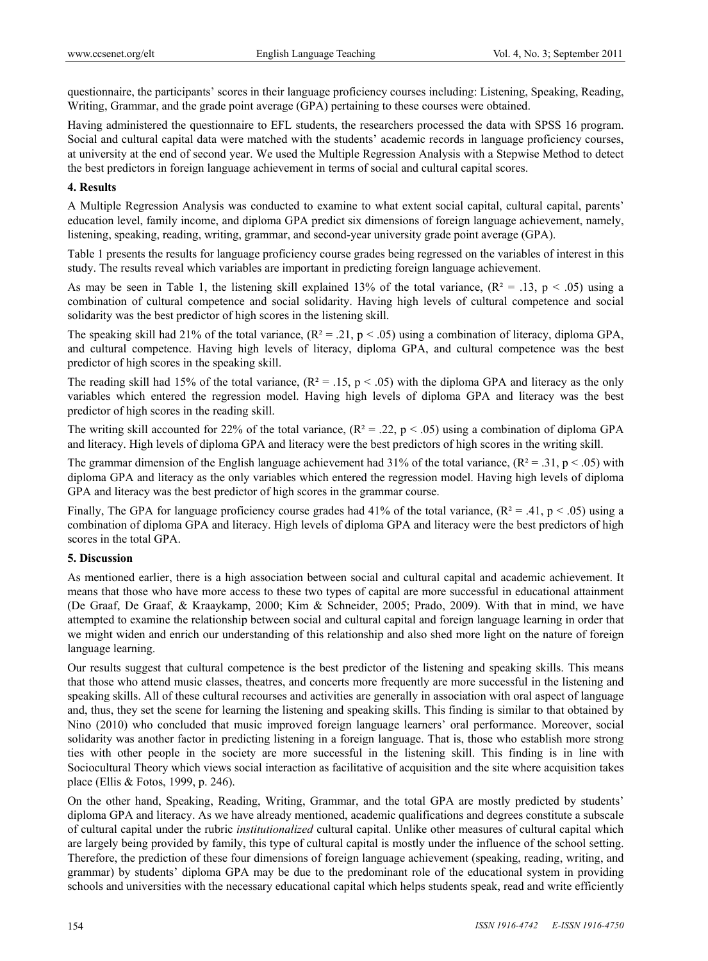questionnaire, the participants' scores in their language proficiency courses including: Listening, Speaking, Reading, Writing, Grammar, and the grade point average (GPA) pertaining to these courses were obtained.

Having administered the questionnaire to EFL students, the researchers processed the data with SPSS 16 program. Social and cultural capital data were matched with the students' academic records in language proficiency courses, at university at the end of second year. We used the Multiple Regression Analysis with a Stepwise Method to detect the best predictors in foreign language achievement in terms of social and cultural capital scores.

# **4. Results**

A Multiple Regression Analysis was conducted to examine to what extent social capital, cultural capital, parents' education level, family income, and diploma GPA predict six dimensions of foreign language achievement, namely, listening, speaking, reading, writing, grammar, and second-year university grade point average (GPA).

Table 1 presents the results for language proficiency course grades being regressed on the variables of interest in this study. The results reveal which variables are important in predicting foreign language achievement.

As may be seen in Table 1, the listening skill explained 13% of the total variance,  $(R^2 = .13, p < .05)$  using a combination of cultural competence and social solidarity. Having high levels of cultural competence and social solidarity was the best predictor of high scores in the listening skill.

The speaking skill had 21% of the total variance,  $(R^2 = .21, p < .05)$  using a combination of literacy, diploma GPA, and cultural competence. Having high levels of literacy, diploma GPA, and cultural competence was the best predictor of high scores in the speaking skill.

The reading skill had 15% of the total variance,  $(R^2 = .15, p < .05)$  with the diploma GPA and literacy as the only variables which entered the regression model. Having high levels of diploma GPA and literacy was the best predictor of high scores in the reading skill.

The writing skill accounted for 22% of the total variance,  $(R^2 = .22, p < .05)$  using a combination of diploma GPA and literacy. High levels of diploma GPA and literacy were the best predictors of high scores in the writing skill.

The grammar dimension of the English language achievement had 31% of the total variance,  $(R^2 = .31, p < .05)$  with diploma GPA and literacy as the only variables which entered the regression model. Having high levels of diploma GPA and literacy was the best predictor of high scores in the grammar course.

Finally, The GPA for language proficiency course grades had 41% of the total variance,  $(R^2 = .41, p < .05)$  using a combination of diploma GPA and literacy. High levels of diploma GPA and literacy were the best predictors of high scores in the total GPA.

## **5. Discussion**

As mentioned earlier, there is a high association between social and cultural capital and academic achievement. It means that those who have more access to these two types of capital are more successful in educational attainment (De Graaf, De Graaf, & Kraaykamp, 2000; Kim & Schneider, 2005; Prado, 2009). With that in mind, we have attempted to examine the relationship between social and cultural capital and foreign language learning in order that we might widen and enrich our understanding of this relationship and also shed more light on the nature of foreign language learning.

Our results suggest that cultural competence is the best predictor of the listening and speaking skills. This means that those who attend music classes, theatres, and concerts more frequently are more successful in the listening and speaking skills. All of these cultural recourses and activities are generally in association with oral aspect of language and, thus, they set the scene for learning the listening and speaking skills. This finding is similar to that obtained by Nino (2010) who concluded that music improved foreign language learners' oral performance. Moreover, social solidarity was another factor in predicting listening in a foreign language. That is, those who establish more strong ties with other people in the society are more successful in the listening skill. This finding is in line with Sociocultural Theory which views social interaction as facilitative of acquisition and the site where acquisition takes place (Ellis & Fotos, 1999, p. 246).

On the other hand, Speaking, Reading, Writing, Grammar, and the total GPA are mostly predicted by students' diploma GPA and literacy. As we have already mentioned, academic qualifications and degrees constitute a subscale of cultural capital under the rubric *institutionalized* cultural capital. Unlike other measures of cultural capital which are largely being provided by family, this type of cultural capital is mostly under the influence of the school setting. Therefore, the prediction of these four dimensions of foreign language achievement (speaking, reading, writing, and grammar) by students' diploma GPA may be due to the predominant role of the educational system in providing schools and universities with the necessary educational capital which helps students speak, read and write efficiently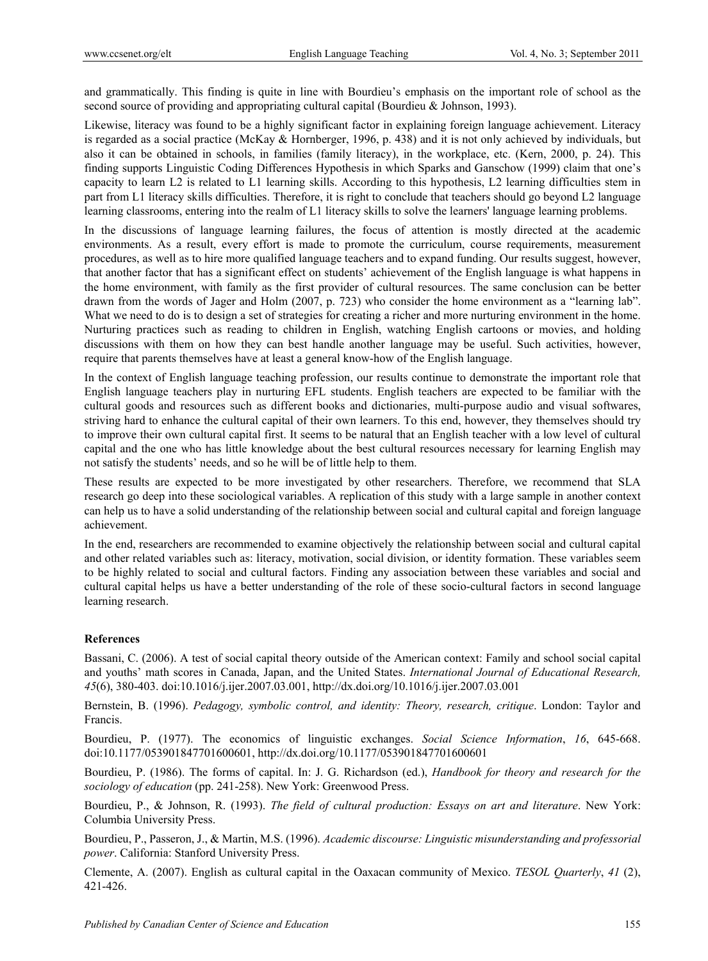and grammatically. This finding is quite in line with Bourdieu's emphasis on the important role of school as the second source of providing and appropriating cultural capital (Bourdieu & Johnson, 1993).

Likewise, literacy was found to be a highly significant factor in explaining foreign language achievement. Literacy is regarded as a social practice (McKay & Hornberger, 1996, p. 438) and it is not only achieved by individuals, but also it can be obtained in schools, in families (family literacy), in the workplace, etc. (Kern, 2000, p. 24). This finding supports Linguistic Coding Differences Hypothesis in which Sparks and Ganschow (1999) claim that one's capacity to learn L2 is related to L1 learning skills. According to this hypothesis, L2 learning difficulties stem in part from L1 literacy skills difficulties. Therefore, it is right to conclude that teachers should go beyond L2 language learning classrooms, entering into the realm of L1 literacy skills to solve the learners' language learning problems.

In the discussions of language learning failures, the focus of attention is mostly directed at the academic environments. As a result, every effort is made to promote the curriculum, course requirements, measurement procedures, as well as to hire more qualified language teachers and to expand funding. Our results suggest, however, that another factor that has a significant effect on students' achievement of the English language is what happens in the home environment, with family as the first provider of cultural resources. The same conclusion can be better drawn from the words of Jager and Holm (2007, p. 723) who consider the home environment as a "learning lab". What we need to do is to design a set of strategies for creating a richer and more nurturing environment in the home. Nurturing practices such as reading to children in English, watching English cartoons or movies, and holding discussions with them on how they can best handle another language may be useful. Such activities, however, require that parents themselves have at least a general know-how of the English language.

In the context of English language teaching profession, our results continue to demonstrate the important role that English language teachers play in nurturing EFL students. English teachers are expected to be familiar with the cultural goods and resources such as different books and dictionaries, multi-purpose audio and visual softwares, striving hard to enhance the cultural capital of their own learners. To this end, however, they themselves should try to improve their own cultural capital first. It seems to be natural that an English teacher with a low level of cultural capital and the one who has little knowledge about the best cultural resources necessary for learning English may not satisfy the students' needs, and so he will be of little help to them.

These results are expected to be more investigated by other researchers. Therefore, we recommend that SLA research go deep into these sociological variables. A replication of this study with a large sample in another context can help us to have a solid understanding of the relationship between social and cultural capital and foreign language achievement.

In the end, researchers are recommended to examine objectively the relationship between social and cultural capital and other related variables such as: literacy, motivation, social division, or identity formation. These variables seem to be highly related to social and cultural factors. Finding any association between these variables and social and cultural capital helps us have a better understanding of the role of these socio-cultural factors in second language learning research.

# **References**

Bassani, C. (2006). A test of social capital theory outside of the American context: Family and school social capital and youths' math scores in Canada, Japan, and the United States. *International Journal of Educational Research, 45*(6), 380-403. doi:10.1016/j.ijer.2007.03.001, http://dx.doi.org/10.1016/j.ijer.2007.03.001

Bernstein, B. (1996). *Pedagogy, symbolic control, and identity: Theory, research, critique*. London: Taylor and Francis.

Bourdieu, P. (1977). The economics of linguistic exchanges. *Social Science Information*, *16*, 645-668. doi:10.1177/053901847701600601, http://dx.doi.org/10.1177/053901847701600601

Bourdieu, P. (1986). The forms of capital. In: J. G. Richardson (ed.), *Handbook for theory and research for the sociology of education* (pp. 241-258). New York: Greenwood Press.

Bourdieu, P., & Johnson, R. (1993). *The field of cultural production: Essays on art and literature*. New York: Columbia University Press.

Bourdieu, P., Passeron, J., & Martin, M.S. (1996). *Academic discourse: Linguistic misunderstanding and professorial power*. California: Stanford University Press.

Clemente, A. (2007). English as cultural capital in the Oaxacan community of Mexico. *TESOL Quarterly*, *41* (2), 421-426.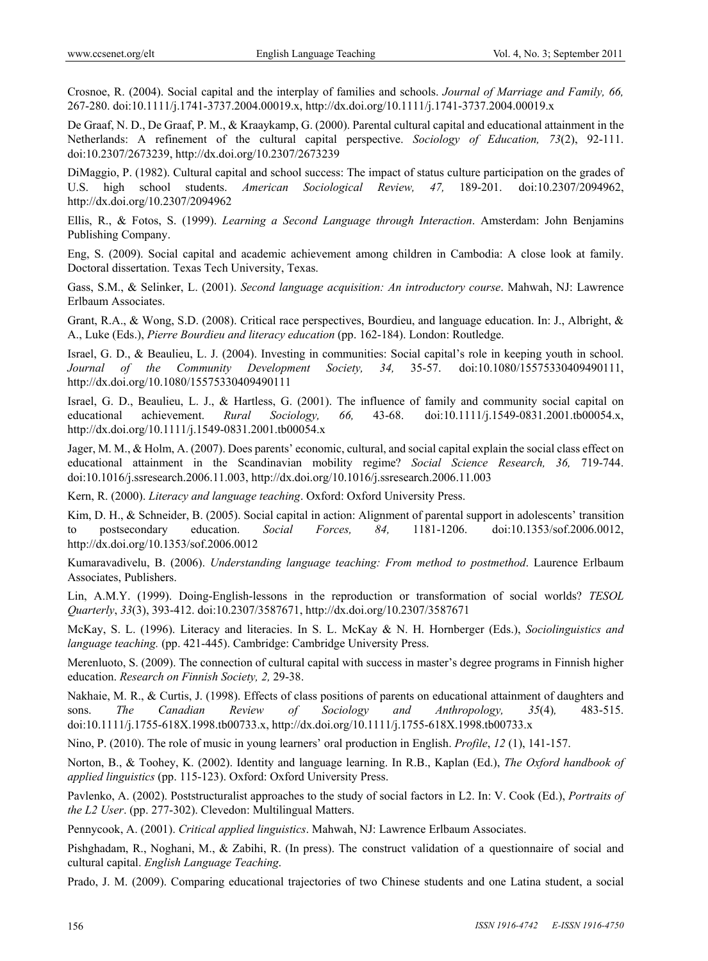Crosnoe, R. (2004). Social capital and the interplay of families and schools. *Journal of Marriage and Family, 66,*  267-280. doi:10.1111/j.1741-3737.2004.00019.x, http://dx.doi.org/10.1111/j.1741-3737.2004.00019.x

De Graaf, N. D., De Graaf, P. M., & Kraaykamp, G. (2000). Parental cultural capital and educational attainment in the Netherlands: A refinement of the cultural capital perspective. *Sociology of Education, 73*(2), 92-111. doi:10.2307/2673239, http://dx.doi.org/10.2307/2673239

DiMaggio, P. (1982). Cultural capital and school success: The impact of status culture participation on the grades of U.S. high school students. *American Sociological Review, 47,* 189-201. doi:10.2307/2094962, http://dx.doi.org/10.2307/2094962

Ellis, R., & Fotos, S. (1999). *Learning a Second Language through Interaction*. Amsterdam: John Benjamins Publishing Company.

Eng, S. (2009). Social capital and academic achievement among children in Cambodia: A close look at family. Doctoral dissertation. Texas Tech University, Texas.

Gass, S.M., & Selinker, L. (2001). *Second language acquisition: An introductory course*. Mahwah, NJ: Lawrence Erlbaum Associates.

Grant, R.A., & Wong, S.D. (2008). Critical race perspectives, Bourdieu, and language education. In: J., Albright, & A., Luke (Eds.), *Pierre Bourdieu and literacy education* (pp. 162-184). London: Routledge.

Israel, G. D., & Beaulieu, L. J. (2004). Investing in communities: Social capital's role in keeping youth in school. *Journal of the Community Development Society, 34,* 35-57. doi:10.1080/15575330409490111, http://dx.doi.org/10.1080/15575330409490111

Israel, G. D., Beaulieu, L. J., & Hartless, G. (2001). The influence of family and community social capital on educational achievement. *Rural Sociology, 66,* 43-68. doi:10.1111/j.1549-0831.2001.tb00054.x, http://dx.doi.org/10.1111/j.1549-0831.2001.tb00054.x

Jager, M. M., & Holm, A. (2007). Does parents' economic, cultural, and social capital explain the social class effect on educational attainment in the Scandinavian mobility regime? *Social Science Research, 36,* 719-744. doi:10.1016/j.ssresearch.2006.11.003, http://dx.doi.org/10.1016/j.ssresearch.2006.11.003

Kern, R. (2000). *Literacy and language teaching*. Oxford: Oxford University Press.

Kim, D. H., & Schneider, B. (2005). Social capital in action: Alignment of parental support in adolescents' transition to postsecondary education. *Social Forces, 84,* 1181-1206. doi:10.1353/sof.2006.0012, http://dx.doi.org/10.1353/sof.2006.0012

Kumaravadivelu, B. (2006). *Understanding language teaching: From method to postmethod*. Laurence Erlbaum Associates, Publishers.

Lin, A.M.Y. (1999). Doing-English-lessons in the reproduction or transformation of social worlds? *TESOL Quarterly*, *33*(3), 393-412. doi:10.2307/3587671, http://dx.doi.org/10.2307/3587671

McKay, S. L. (1996). Literacy and literacies. In S. L. McKay & N. H. Hornberger (Eds.), *Sociolinguistics and language teaching.* (pp. 421-445). Cambridge: Cambridge University Press.

Merenluoto, S. (2009). The connection of cultural capital with success in master's degree programs in Finnish higher education. *Research on Finnish Society, 2,* 29-38.

Nakhaie, M. R., & Curtis, J. (1998). Effects of class positions of parents on educational attainment of daughters and sons. *The Canadian Review of Sociology and Anthropology, 35*(4)*,* 483-515. doi:10.1111/j.1755-618X.1998.tb00733.x, http://dx.doi.org/10.1111/j.1755-618X.1998.tb00733.x

Nino, P. (2010). The role of music in young learners' oral production in English. *Profile*, *12* (1), 141-157.

Norton, B., & Toohey, K. (2002). Identity and language learning. In R.B., Kaplan (Ed.), *The Oxford handbook of applied linguistics* (pp. 115-123). Oxford: Oxford University Press.

Pavlenko, A. (2002). Poststructuralist approaches to the study of social factors in L2. In: V. Cook (Ed.), *Portraits of the L2 User*. (pp. 277-302). Clevedon: Multilingual Matters.

Pennycook, A. (2001). *Critical applied linguistics*. Mahwah, NJ: Lawrence Erlbaum Associates.

Pishghadam, R., Noghani, M., & Zabihi, R. (In press). The construct validation of a questionnaire of social and cultural capital. *English Language Teaching*.

Prado, J. M. (2009). Comparing educational trajectories of two Chinese students and one Latina student, a social